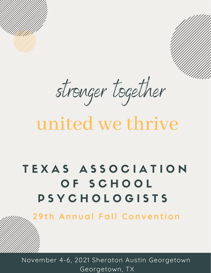stronger together

# united we thrive

## TEXAS ASSOCIATION OF SCHOOL P S Y C H O L O G I S T S

**2 9 t h An n ual Fal l Con v e n t ion**

November 4-6, 2021 Sheraton Austin Georgetown Georgetown, TX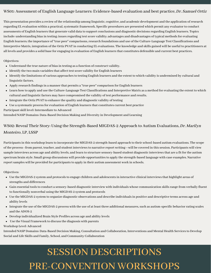#### WS01: Assessment of English Language Learners: Evidence-based evaluation and best practice, Dr. Samuel Ortiz

This presentation provides a review of the relationship among linguistic, cognitive, and academic development and the application ofresearch regarding EL evaluation within a practical, systematic framework. Specific procedures are presented which permit any evaluator to conduct assessments of English learners that generate valid data to support conclusions and diagnostic decisions regarding English learners. Topics include: understanding bias in testing; issues regarding test score validity; advantages and disadvantages of typical methods for evaluating English learners; the importance of "true peer" comparisons, research foundations and use of the Culture-Language Test Classifications and Interpretive Matrix, integration of the Ortiz PVAT in conducting EL evaluations. The knowledge and skills gained will be useful to practitioners at all levels and provides a solid base for engaging in evaluation of English learners that constitutes defensible and current best practices.

#### Objectives:

- Understand the true nature of biasin testing as a function of construct validity.
- Identify the two main variables that affect test score validity for English learners
- Identify the limitations of various approaches to testing English learners and the extent to which validity is undermined by cultural and linguistic factors.
- Apply research findings in a manner that permits a "true peer" comparison for English learners
- Learn how to apply and use the Culture-Language Test Classifications and Interpretive Matrix as a method for evaluating the extent to which cultural and linguistic factors may have compromised the validity of test performance and results.
- Integrate the Ortiz PVAT to enhance the quality and diagnostic validity of testing
- Use a systematic process for evaluation of English learners that constitutes current best practice

Participantskill level: Intermediate to Advanced

Intended NASP Domains: Data-Based Decision Making and Diversity in Development and Learning

#### WS02: Reveal Their Story: Using the Strength-Based MIGDAS-2 Approach to Autism Evaluations, Dr. Marilyn Monteiro, LP, LSSP

Participants in this workshop learn to incorporate the MIGDAS-2 strength-based approach to their school-based autism evaluations. The scope of the process--from parent, teacher, and student interviewsto narrative report writing—will be covered in thissession. Participants will view sample interviews across age and ability levels, and learn to structure sensory-based student diagnostic interviews that are a fit for the autism spectrum brain style. Small group discussions will provide opportunitiesto apply the strength-based language with case examples. Narrative report samples will be provided for participants to apply in their autism assessment work in schools.

Objectives:

- Use the MIGDAS-2 system and protocolsto engage children and adolescentsin interactive clinical interviewsthat highlight areas of strengths and differences
- Gain essential toolsto conduct a sensory-based diagnostic interview with individuals whose communication skillsrange from verbally fluent to functionally nonverbal using the MIGDAS-2 system and protocols
- Use the MIGDAS-2 system to organize diagnostic observations and describe individualsin positive and descriptive terms across age and ability levels
- Integrate the use of the MIGDAS-2 process with the use of at least three additional measures, such as autism-specific behavior rating scales and the ADOS-2
- Develop individualized Brain Style Profiles across age and ability levels
- Use the Visual Framework to discussthe diagnosis with parents

Workshop Level: Advanced

Intended NASP Domains: Data-Based Decision Making, Consultation and Collaboration, Interventions and Mental Health Servicesto Develop Social and Life Skills and Family, School, and Community Collaboration

## SESSION DESCRIPTIONS PRE-CONVENTION WORKSHOPS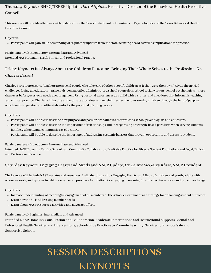#### Thursday Keynote: BHEC/TSBEP Update, Darrel Spinks, Executive Director of the Behavioral Health Executive Council

This session will provide attendees with updates from the Texas State Board of Examiners of Psychologists and the Texas Behavioral Health Executive Council.

#### Objective:

• Participants will gain an understanding of regulatory updates from the state licensing board as well as implications for practice.

Participant level: Introductory, Intermediate and Advanced Intended NASP Domain: Legal, Ethical, and Professional Practice

#### Friday Keynote: It's Always About the Children: Educators Bringing Their Whole Selvesto the Profession, Dr. Charles Barrett

Charles Barrett often says, "teachers are special people who take care of other people's children asif they were their own." Given the myriad challenges facing all educators—principals, central office administrators, school counselors, school social workers, school psychologists—more than ever before, everyone needs encouragement. Using personal experiences as a child with a stutter, and anecdotes that inform his teaching and clinical practice, Charles will inspire and motivate attendees to view their respective roles serving children through the lens of purpose, which leads to passion, and ultimately unlocks the potential of young people.

#### Objectives:

- Participants will be able to describe how purpose and passion are salient to their roles as school psychologists and educators.
- Participants will be able to describe the importance ofrelationships and incorporating a strength-based paradigm when serving students, families, schools, and communities as educators.
- Participants will be able to describe the importance of addressing systemic barriers that prevent opportunity and access to students

#### Participant level: Introductory, Intermediate and Advanced

Intended NASP Domains: Family, School, and Community Collaboration, Equitable Practice for Diverse Student Populations and Legal, Ethical, and Professional Practice

#### Saturday Keynote: Engaging Hearts and Minds and NASP Update, Dr. Laurie McGarry Klose, NASP President

The keynote will include NASP updates and resources. I will also discuss how Engaging Hearts and Minds of children and youth, adults with whom we work, and systemsin which we serve can provide a foundation for engaging in meaningful and effective services and proactive change.

#### Objectives:

- Increase understanding of meaningful engagement of all members of the school environment as a strategy for enhancing student outcomes.
- Learn how NASP is addressing member needs
- Learn about NASP resources, activities, and advocacy efforts

#### Participant level: Beginner, Intermediate and Advanced

Intended NASP Domains: Consultation and Collaboration, Academic Interventions and Instructional Supports, Mental and Behavioral Health Services and Interventions, School-Wide Practices to Promote Learning, Services to Promote Safe and Supportive Schools

## SESSION DESCRIPTIONS KEYNOTES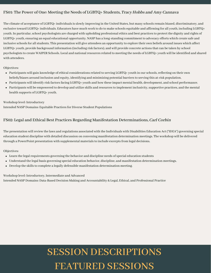#### FS01: The Power of One: Meeting the Needs of LGBTQ+ Students, Tracy Hobbs and Amy Cannava

The climate of acceptance of LGBTQ+ individuals is slowly improving in the United States, but many schools remain biased, discriminatory, and exclusive toward LGBTQ+ individuals. Educators have much work to do to make schools equitable and affirming for all youth, including LGBTQ+ youth. In particular, school psychologists are charged with upholding professional ethics and best practices to protect the dignity and rights of LGBTQ+ youth, ensuring an equal educational opportunity. NASP has a long-standing commitment to advocacy efforts which create safe and inclusive schools for all students. This presentation will give attendees an opportunity to explore their own beliefs around issues which affect LGBTQ+ youth, provide background information (including risk factors), and will provide concrete actions that can be taken by school psychologiststo create WAIPER Schools. Local and nationalresourcesrelated to meeting the needs of LGBTQ+ youth will be identified and shared with attendees.

#### Objectives:

- Participants will gain knowledge of ethical considerations related to serving LGBTQ+ youth in our schools, reflecting on their own beliefs/biases around inclusion and equity, identifying and minimizing potential barriersto serving this at-risk population.
- Participants will identify risk factors facing LGBTQ+ youth and how these impact mental health, development, and school performance.
- Participants will be empowered to develop and utilize skills and resourcesto implement inclusivity,supportive practices, and the mental health supports of LGBTQ+ youth.

#### Workshop level: Introductory

Intended NASP Domains: Equitable Practices for Diverse Student Populations

#### FS02: Legal and Ethical Best Practices Regarding Manifestation Determinations, Carl Corbin

The presentation will review the laws and regulations associated with the Individuals with Disabilities Education Act ("IDEA") governing special education student discipline with detailed discussion on convening manifestation determination meetings. The workshop will be delivered through a PowerPoint presentation with supplemental materials to include excerpts from legal decisions.

#### Objectives:

- Learn the legal requirements governing the behavior and discipline needs of special education students
- Understand the legal basis governing special education behavior, discipline, and manifestation determination meetings.
- $\bullet$  Develop the skills to complete a legally defensible manifestation determination meeting.

#### Workshop level: Introductory, Intermediate and Advanced

Intended NASP Domains: Data-Based Decision Making and Accountability & Legal, Ethical, and Professional Practice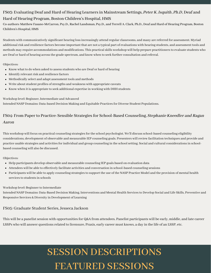#### FS03: Evaluating Deaf and Hard of Hearing Learners in Mainstream Settings, Peter K. Isquith, Ph.D, Deaf and Hard of Hearing Program, Boston Children's Hospital, HMS

Co-authors: Matthew Fasano-McCarron, Psy.D., Rachel Landsman, Psy.D., and Terrell A. Clark, Ph.D., Deaf and Hard of Hearing Program, Boston Children's Hospital, HMS

Students with communicatively significant hearing lossincreasingly attend regular classrooms, and many are referred for assessment. Myriad additional risk and resilience factors become important that are not a typical part of evaluations with hearing students, and assessment tools and methods may require accommodations and modifications. This practical skills workshop will help prepare practitioners to evaluate students who are Deaf or hard of hearing acrossthe grade spectrum, and know when to seek further consultation and referral.

Objectives:

- Know what to do when asked to assess students who are Deaf or hard of hearing
- Identify relevant risk and resilience factors
- Methodically select and adapt assessment tools and methods
- Write about student profiles of strengths and weakness with appropriate caveats
- Know when it is appropriate to seek additional expertise in working with DHH students

Workshop level: Beginner, Intermediate and Advanced

Intended NASP Domains: Data-based Decision Making and Equitable Practicesfor Diverse Student Populations.

#### FS04: From Paper to Practice: Sensible Strategies for School-Based Counseling, Stephanie Kneedler and Ragan Aaron

This workshop will focus on practical counseling strategies for the school psychologist. We'll discuss school-based counseling eligibility considerations, development of observable and measurable IEP counseling goals. Presenters willreview facilitation techniques and provide and practice usable strategies and activities for individual and group counseling in the school setting. Social and cultural considerations in schoolbased counseling will also be discussed.

Objectives:

- Help participants develop observable and measurable counseling IEP goals based on evaluation data
- Attendees will be able to effectively facilitate activities and conversation in school-based counseling sessions
- Participants will be able to apply counseling strategiesto support the use of the NASP Practice Model and the provision of mental health services to students in schools

#### Workshop level: Beginner to Intermediate

Intended NASP Domains: Data-Based Decision Making, Interventions and Mental Health Servicesto Develop Social and Life Skills, Preventive and Responsive Services & Diversity in Development of Learning

#### FS05: Graduate Student Series, Jesseca Jackson

This will be a panelist session with opportunities for Q&A from attendees. Panelist participants will be early, middle, and late career LSSPs who will answer questions related to licensure, Praxis, early career must knows, a day in the life of an LSSP, etc.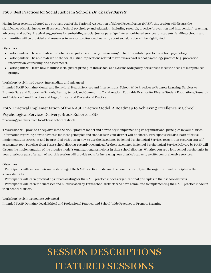#### FS06: Best Practicesfor Social Justice in Schools, Dr. Charles Barrett

Having been recently adopted as a strategic goal of the National Association of School Psychologists(NASP), thissession will discussthe significance ofsocial justice to all aspects ofschool psychology and education, including research, practice (prevention and intervention), teaching, advocacy, and policy. Practical suggestions for embedding a social justice paradigm into school-based services for students, families, schools, and communities will be provided and resourcesto support professional learning aboutsocial justice will be highlighted.

#### Objectives:

- Participants will be able to describe what social justice is and why it is meaningful to the equitable practice of school psychology.
- Participants will be able to describe the social justice implicationsrelated to various areas ofschool psychology practice (e.g., prevention, intervention, counseling, and assessment).
- Participants will learn how to infuse social justice principlesinto school and systems wide policy decisionsto meet the needs of marginalized groups.

#### Workshop level: Introductory, Intermediate and Advanced

Intended NASP Domains: Mental and Behavioral Health Services and Interventions, School-Wide Practices to Promote Learning, Services to Promote Safe and Supportive Schools, Family, School, and Community Collaboration, Equitable Practice for Diverse Student Populations, Research and Evidence-Based Practices and Legal, Ethical, and Professional Practice

#### FS07: Practical Implementation of the NASP Practice Model: A Roadmap to Achieving Excellence in School

#### Psychological Services Delivery, Brook Roberts, LSSP

\*featuring panelistsfrom local Texasschool districts

Thissession will provide a deep dive into the NASP practice model and how to begin implementing its organizational principlesin your district. Information regarding how to advocate for these principles and standards in your district will be shared. Participants will also learn effective implementation strategies and be provided with tips on how to use the Excellence in School Psychological Services recognition program as a selfassessment tool. Panelists from Texas school districts recently recognized for their excellence in School Psychological Service Delivery by NASP will discuss the implementation of the practice model's organizational principles in their school districts. Whether you are a lone school psychologist in your district or part of a team of 100, this session will provide tools for increasing your district's capacity to offer comprehensive services.

#### Objectives:

· Participants will deepen their understanding of the NASP practice model and the benefits of applying the organizational principlesin their school districts.

· Participants will learn practical tips for advocating for the NASP practice model's organizational principles in their school districts.

· Participants will learn the successes and hurdlesfaced by Texasschool districts who have committed to implementing the NASP practice model in their school districts.

Workshop level: Intermediate, Advanced

Intended NASP Domains: Legal, Ethical and Professional Practice, and School-Wide Practicesto Promote Learning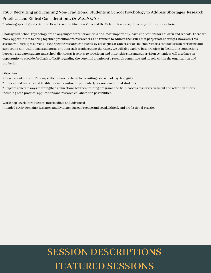#### FS08: Recruiting and Training Non-Traditional Studentsin School Psychology to Address Shortages: Research, Practical, and Ethical Considerations, Dr. Sarah Mire

\*featuring special guests Dr. Elise Hendricker, Dr. Shannon Viola and Dr. Melanie Lemanski, University of Houston-Victoria

Shortages in School Psychology are an ongoing concern for our field and, most importantly, have implications for children and schools. There are many opportunities to bring together practitioners, researchers, and trainers to address the issues that perpetuate shortages, however. This session will highlight current, Texas-specific research conducted by colleagues at University of Houston-Victoria that focuses on recruiting and supporting non-traditional students as one approach to addressing shortages. We will also explore best practices in facilitating connections between graduate students and school districts as it relates to practicum and internship sites and supervision. Attendees will also have an opportunity to provide feedback to TASP regarding the potential creation of a research committee and itsrole within the organization and profession.

#### Objectives:

1. Learn about current, Texas-specific research related to recruiting new school psychologists.

2. Understand barriers and facilitators in recruitment, particularly for non-traditional students.

3. Explore concrete waysto strengthen connections between training programs and field-based sitesforrecruitment and retention efforts, including both practical applications and research collaboration possibilities.

Workshop Level: Introductory, Intermediate and Advanced

Intended NASP Domains: Research and Evidence-Based Practice and Legal, Ethical, and Professional Practice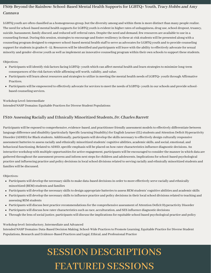#### FS09: Beyond the Rainbow: School-Based Mental Health Supports for LGBTQ+ Youth, *Tracy Hobbs and Amy* Cannava

LGBTQ youth are often classified as a homogeneous group, but the diversity among and within them is more distinct than many people realize. The need for school-based mental health supports for LGBTQ youth is evident in higher rates of unhappiness, drug use, school dropout, truancy, suicide, harassment, family discord, and reduced self-referral rates. Despite the need and demand, few resources are available to use in a counseling format. During this session, strategies to encourage and foster resiliency in these at-risk students will be presented along with a counseling program designed to empower school-based mental health staff to serve as advocates for LGBTQ youth and to provide counseling support forstudentsin grades 6–12. Resources will be identified and participants will leave with the ability to effectively advocate forsexual minority and gender-diverse youth as well asimplement an innovative counseling program within their own schoolsto support these students.

Objectives:

- Participants will identify risk factors facing LGBTQ+ youth which can affect mental health and learn strategies to minimize long-term consequences of the risk factors while affirming self-worth, validity, and value.
- Participants will learn about resources and strategies to utilize in meeting the mental health needs of LGBTQ+ youth through Affirmative **Practices**
- Participants will be empowered to effectively advocate forservicesto meet the needs of LGBTQ+ youth in ourschools and provide schoolbased counseling services.

#### Workshop Level: Intermediate

Intended NASP Domains: Equitable Practices for Diverse Student Populations

#### FS10: Assessing Racially and Ethnically Minoritized Students, Dr. Charles Barrett

Participants will be exposed to comprehensive, evidence-based, and practitioner friendly assessment models to effectively differentiate between language difference and disability (particularly Specific Learning Disability) for English Learner (EL) students and Attention Deficit Hyperactivity Disorder(ADHD) for Black students. Additionally, participants will develop the skills necessary to effectively design culturally responsive assessment batteries to assess racially and ethnically minoritized students' cognitive abilities, academic skills, and social, emotional, and behavioral functioning. Related to ADHD, specific emphasis will be placed on how rater characteristics influence diagnostic decisions. An interactive workshop with multiple opportunities for active engagement, participants will be encouraged to consider the manner in which data are gathered throughout the assessment process and inform nextstepsfor children and adolescents. Implicationsforschool-based psychological practice and influencing practice and policy decisionsin localschool divisionsrelated to serving racially and ethnically minoritized students and families will be discussed.

#### Objectives:

- Participants will develop the necessary skillsto make data-based decisionsin orderto more effectively serve racially and ethnically minoritized (REM) students and families
- Participants will develop the necessary skills to design appropriate batteries to assess REM students' cognitive abilities and academic skills
- Participants will develop the necessary skills to influence practice and policy decisions in their local school divisions related to teaching and assessing REM students
- Participants will discuss best practice recommendations for the comprehensive assessment of Attention Deficit Hyperactivity Disorder
- Participants will discuss how rater characteristicssuch asrace, acculturation, and SES influence diagnostic decisions
- Through the lens of social justice, participants will discuss the implications for equitable school based psychological practice and policy

Workshop level: Introductory, Intermediate and Advanced

Intended NASP Domains: Data-Based Decision Making, School-Wide Practicesto Promote Learning, Equitable Practice for Diverse Student Populations, Research and Evidence-Based Practices and Legal, Ethical, and Professional Practice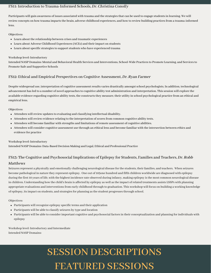#### FS11: Introduction to Trauma-Informed Schools, Dr. Christina Conolly

Participants will gain awareness of issues associated with trauma and the strategies that can be used to engage students in learning. We will review concepts on how trauma impacts the brain, adverse childhood experiences, and how to review building practices from a trauma-informed lens.

#### Objectives:

- Learn about the relationship between crises and traumatic experiences
- Learn about Adverse Childhood Experiences (ACEs) and their impact on students
- Learn about specific strategies to support students who have experienced trauma

#### Workshop level: Introductory

Intended NASP Domains: Mental and Behavioral Health Services and Interventions, School-Wide Practicesto Promote Learning, and Servicesto Promote Safe and Supportive Schools

#### FS12: Ethical and Empirical Perspectives on Cognitive Assessment, Dr. Ryan Farmer

Despite widespread use, interpretation of cognitive assessmentresults varies drastically amongstschool psychologists. In addition, technological advancement has led to a number of novel approaches to cognitive ability test administration and interpretation. This session will explore the available evidence regarding cognitive ability tests, the constructs they measure, their utility in school psychological practice from an ethical and empirical lens.

#### Objectives:

- Attendees will review updates to evaluating and classifying intellectual disability.
- Attendees willreview evidence relating to the interpretation ofscoresfrom common cognitive ability tests.
- Attendees will become familiar with strengths and limitations ofremote assessment of cognitive abilities.
- Attendees will consider cognitive assessment use through an ethical lens and become familiar with the intersection between ethics and evidence for practice

#### Workshop level: Introductory

Intended NASP Domains: Data-Based Decision Making and Legal, Ethical and Professional Practice

#### FS13: The Cognitive and Psychosocial Implications of Epilepsy for Students, Families and Teachers, Dr. Robb

#### Matthews

Seizures represent a physically and emotionally challenging neurological disease for the students, their families, and teachers. When seizures become pathological in nature they represent epilepsy. One out of 105one hundred and fifth children worldwide are diagnosed with epilepsy during the first 10 years of life, with the highest incidence rate observed during infancy, making epilepsy isthe most common neurological disease in children. Understanding how the child's brain is affected by epilepsy as well asthe impact ofrelated treatments assists LSSPs with planning appropriate evaluations and interventions from early childhood through to graduation. This workshop will focus on building a working knowledge of epilepsy, itsimpact on students, and strategiesfor planning asthe student progressesthrough school.

#### Objectives:

- $\bullet$  Participants will recognize epilepsy specific terms and their application
- Participants will be able to classify seizures by type and location
- Participants will be able to consider important cognitive and psychosocial factors in their conceptualization and planning for individuals with epilepsy

Workshop level: Introductory and Intermediate Intended NASP Domains: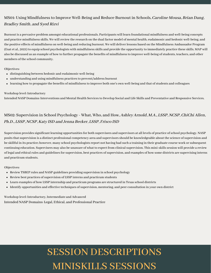#### MS01: Using Mindfulness to Improve Well-Being and Reduce Burnout in Schools, *Caroline Mousa, Brian Dang*, Bradley Smith, and Syed Rizvi

Burnout is a pervasive problem amongst educational professionals. Participants will learn foundational mindfulness and well-being concepts and practice mindfulnessskills. We willreview the research on the dual factor model of mental health, eudaimonic and hedonic well-being, and the positive effects of mindfulness on well-being and reducing burnout. We will deliver lessons based on the Mindfulness Ambassador Program (Esat et al., 2021) to equip school psychologists with mindfulnessskills and provide the opportunity to immediately practice these skills. MAP will also be discussed as an example of how to further propagate the benefits of mindfulnessto improve well-being ofstudents, teachers, and other members of the school community.

Objectives:

- distinguishing between hedonic and eudaimonic well-being
- understanding and using mindfulness practices to prevent/address burnout
- learning how to propagate the benefits of mindfulness to improve both one's own well-being and that of students and colleagues

#### Workshop level: Introductory

Intended NASP Domains: Interventions and Mental Health Servicesto Develop Social and Life Skills and Preventative and Responsive Services.

#### MS02: Supervision in School Psychology - What, Who, and How, Ashley Arnold, M.A., LSSP, NCSP, ChiChi Allen, Ph.D., LSSP, NCSP, Katy ISD and Jenna Becker, LSSP, Frisco ISD

Supervision provides significant learning opportunities for both supervisees and supervisors at all levels of practice of school psychology. NASP posits that supervision is a distinct professional competency area and supervisors should be knowledgeable about the science of supervision and be skillful in its practice; however, many school psychologists report not having had such a training in their graduate course work or subsequent continuing education. Supervisees may also be unaware of what to expect from clinical supervision. This mini-skills session will provide a review of legal and ethical rules and guidelines for supervision, best practices of supervision, and examples of how some districts are supervising interns and practicum students.

Objectives:

- Review TSBEP rules and NASP guidelines providing supervision in school psychology
- Review best practices of supervision of LSSP interns and practicum students
- Learn examples of how LSSP internship and practicum programs are structured in Texasschool districts
- Identify opportunities and effective techniques ofsupervision, mentoring, and peer consultation in your own district

Workshop level: Introductory, Intermediate and Advanced Intended NASP Domains: Legal, Ethical, and Professional Practice

## SESSION DESCRIPTIONS MINISKILLS SESSIONS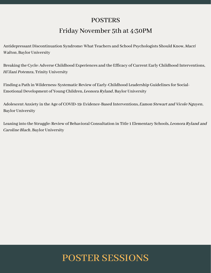### **POSTERS**

### Friday November 5th at 4:30PM

Antidepressant Discontinuation Syndrome: What Teachers and School Psychologists Should Know, Macri Walton, Baylor University

Breaking the Cycle: Adverse Childhood Experiences and the Efficacy of Current Early Childhood Interventions, Hi'ilani Potemra, Trinity University

Finding a Path in Wilderness: Systematic Review of Early-Childhood Leadership Guidelines for Social-Emotional Development of Young Children, Leonora Ryland, Baylor University

Adolescent Anxiety in the Age of COVID-19: Evidence-Based Interventions, Eamon Stewart and Vicole Nguyen, Baylor University

Leaning into the Struggle: Review of Behavioral Consultation in Title 1 Elementary Schools, Leonora Ryland and Caroline Blach, Baylor University

## POSTER SESSIONS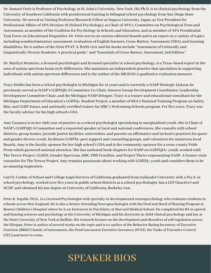Dr. Samuel Ortiz is Professor of Psychology at St. John's University, New York. His Ph.D. is in clinical psychology from the University of Southern California with postdoctoral training in bilingual school psychology from San Diego State University. He served as Visiting Professor/Research Fellow at Nagoya University, Japan, as Vice President for Professional Affairs of APA Division 16 (School Psychology), as Chair of APA's, Committee on Psychological Tests and Assessment, as member of the Coalition for Psychology in Schools and Education, and as member of APA Presidential Task Force on Educational Disparities. Dr. Ortiz serves on various editorial boards and is an expert on a variety of topics including nondiscriminatory assessment, evaluation of English learners, Cross-Battery Assessment (XBA), and learning disabilities. He is author of the Ortiz PVAT, X-BASS v2.0, and his books include "Assessment of Culturally and Linguistically Diverse Students: A practical guide," and "Essentials of Cross-Battery Assessment, 3rd Edition."

Dr. Marilyn Monteiro, a licensed psychologist and licensed specialist in school psychology, is a Texas-based expert in the area of autism spectrum brain style differences. She maintains an independent practice that specializes in supporting individuals with autism spectrum differences and is the author of the MIGDAS-2 qualitative evaluation measure.

Tracy Hobbs has been a school psychologist in Michigan for 41 years and is currently a NASP Strategic Liaison; he previously served as NASP's LGBTQI2-S Committee Co-Chair, Interest Group Development Coordinator, Leadership Development Committee Chair, and the Michigan NASP delegate. Tracy is a trainer and educational consultant for the Michigan Department of Education's LGBTQ+ Student Project, a member of NEA's National Training Program on Safety, Bias, and GLBT Issues, and nationally certified trainer for HRC's Welcoming Schools program. For five years, Tracy was the faculty advisor for his high school's GSA.

Amy Cannava is in her 19th year of practice as a school psychologist specializing in marginalized youth. She is Chair of NASP's LGBTQI2-S Committee and a requested speaker at local and national conferences. She consults with school districts, group homes, juvenile justice facilities, universities, and parents on affirmative and inclusive practices for queer and gender diverse youth, facilitates LGBTQ+ peer support and counseling groups, and volunteers for numerous local Boards. Amy is the faculty sponsor for her high school's GSA and is the community sponsor for a cross-county Pride Prom which garnered national attention. She has authored book chapters for NASP on LGBTQIA+ youth, worked with The Trevor Project, GLSEN, Gender Spectrum, HRC, PBS Frontline, and Project Thrive representing NASP. A former crisis counselor for The Trevor Project, Amy remains passionate about working with LGBTQ+ youth and considers them to be an amazing inspiration.

Carl D. Corbin of School and College Legal Services of California graduated from Gallaudet University with a Psy.S. in school psychology, worked over five years in public school districts as a school psychologist, has a LEP (inactive) and NCSP, and obtained his law degree at University of California, Berkeley Law.

Peter K. Isquith, Ph.D., is a Licensed Psychologist with specialty in developmental neuropsychology who evaluates students in schools across New England. He is also a Senior Attending Neuropsychologist with the Deaf and Hard of Hearing Program at Boston Children's Hospital where he is an Instructorin Psychiatry at Harvard Medical School. He completed his BA in speech and hearing sciences and psychology at the University of Michigan and his doctorate in child clinical psychology and law at the State University of New York at Buffalo. Hisresearch focuses on the development and disorders ofselfregulation across the lifespan. Peter is author of several works on the topic and is co-author of the Behavior Rating Inventory of Executive Function (BRIEF) family of instruments, the PostConcussion Executive Inventory (PCEI), the Tasks of Executive Control (TEC),and more to come.

## SPEAKER BIOS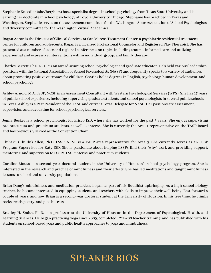Stephanie Kneedler (she/her/hers) has a specialist degree in school psychology from Texas State University and is earning her doctorate in school psychology at Loyola University Chicago. Stephanie has practiced in Texas and Washington. Stephanie serves on the assessment committee for the Washington State Association of School Psychologists and diversity committee for the Washington Virtual Academies.

Ragan Aaron is the Director of Clinical Services at San Marcos Treatment Center, a psychiatric residential treatment center for children and adolescents. Ragan is a Licensed Professional Counselor and Registered Play Therapist. She has presented at a number of state and regional conferences on topics including trauma-informed care and utilizing experiential and expressive interventions within individual, group, and family therapy.

Charles Barrett, PhD, NCSP is an award-winning school psychologist and graduate educator. He's held various leadership positions with the National Association of School Psychologists (NASP) and frequently speaks to a variety of audiences about promoting positive outcomes for children. Charles holds degrees in English, psychology, human development, and school psychology.

Ashley Arnold, M.A. LSSP, NCSP is an Assessment Consultant with Western Psychological Services (WPS). She has 17 years of public-school experience, including supervising graduate students and school psychologists in several public schools in Texas. Ashley is a Past President of the TASP and current Texas Delegate for NASP. Her passions are assessment, supervision and advocating for school psychological services.

Jenna Becker is a school psychologist for Frisco ISD, where she has worked for the past 5 years. She enjoys supervising pre-practicum and practicum students, as well as interns. She is currently the Area 1 representative on the TASP Board and has previously served as the Convention Chair.

Chiharu (ChiChi) Allen, Ph.D. LSSP, NCSP is a TASP area representative for Area 3. She currently serves as an LSSP Program Supervisor for Katy ISD. She is passionate about helping LSSPs find their "why" work and providing support, mentoring, and supervision to LSSPs, LSSP interns, and practicum students.

Caroline Mousa is a second year doctoral student in the University of Houston's school psychology program. She is interested in the research and practice of mindfulness and their effects. She has led meditations and taught mindfulness lessons to school and university populations.

Brian Dang's mindfulness and meditation practices began as part of his Buddhist upbringing. As a high school biology teacher, he became interested in equipping students and teachers with skills to improve their well-being. Fast forward a couple of years, and now Brian is a second-year doctoral student at the University of Houston. In his free time, he climbs rocks, reads poetry, and pets his cats.

Bradley H. Smith, Ph.D. is a professor at the University of Houston in the Department of Psychological, Health, and Learning Sciences. He began practicing yoga since 2005, completed RYT-200 teacher training, and has published with his students on school-based yoga and public health approaches to yoga and mindfulness.

## SPEAKER BIOS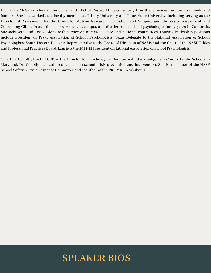Dr. Laurie McGarry Klose is the owner and CEO of RespectED, a consulting firm that provides services to schools and families. She has worked as a faculty member at Trinity University and Texas State University, including serving as the Director of Assessment for the Clinic for Autism Research, Evaluation and Support and University Assessment and Counseling Clinic. In addition, she worked as a campus and district-based school psychologist for 12 years in California, Massachusetts and Texas. Along with service on numerous state and national committees, Laurie's leadership positions include President of Texas Association of School Psychologists, Texas Delegate to the National Association of School Psychologists, South Eastern Delegate Representative to the Board of Directors of NASP, and the Chair of the NASP Ethics and Professional Practices Board. Laurie is the 2021-22 President of National Association of School Psychologists.

Christina Conolly, Psy.D, NCSP, is the Director for Psychological Services with the Montgomery County Public Schools in Maryland. Dr. Conolly has authored articles on school crisis prevention and intervention. She is a member of the NASP School Safety & Crisis Response Committee and coauthor of the PREPaRE Workshop 1.

### SPEAKER BIOS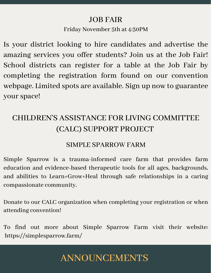### JOB FAIR

### Friday November 5th at 4:30PM

Is your district looking to hire candidates and advertise the amazing services you offer students? Join us at the Job Fair! School districts can register for a table at the Job Fair by completing the registration form found on our convention webpage. Limited spots are available. Sign up now to guarantee yourspace!

## CHILDREN'S ASSISTANCE FOR LIVING COMMITTEE (CALC) SUPPORT PROJECT

### SIMPLE SPARROW FARM

Simple Sparrow is a trauma-informed care farm that provides farm education and evidence-based therapeutic tools for all ages, backgrounds, and abilities to Learn+Grow+Heal through safe relationships in a caring compassionate community.

Donate to our CALC organization when completing your registration or when attending convention!

To find out more about Simple Sparrow Farm visit their website: https://simplesparrow.farm/

## ANNOUNCEMENTS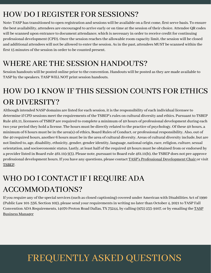### HOW DO I REGISTER FOR SESSIONS?

Note: TASP has transitioned to open registration and sessions will be available on a first come, first serve basis. To ensure the best availability, attendees are encouraged to arrive early or on time at the session of their choice. Attendee QR codes will be scanned upon entrance to document attendance, which is necessary in order to receive credit for continuing professional development (CPD). Once the session reaches the allowable room capacity limit, the session will be closed and additional attendees will not be allowed to enter the session. As in the past, attendees MUST be scanned within the first 15 minutes of the session in order to be counted present.

### WHERE ARE THE SESSION HANDOUTS?

Session handouts will be posted online prior to the convention. Handouts will be posted as they are made available to TASP by the speakers. TASP WILL NOT print session handouts.

## HOW DO I KNOW IF THIS SESSION COUNTS FOR ETHICS OR DIVERSITY?

Although intended NASP domains are listed for each session, it is the responsibility of each individual licensee to determine if CPD sessions meet the requirements of the TSBEP's rules on cultural diversity and ethics. Pursuant to TSBEP Rule 461.11, licensees of TSBEP are required to complete a minimum of 40 hours of professional development during each two year period they hold a license. The hours must be directly related to the practice of psychology. Of these 40 hours, a minimum of 6 hours must be in the area(s) of ethics, Board Rules of Conduct, or professional responsibility. Also, out of the 40 required hours, another 6 hours must be in the area of cultural diversity. Areas of cultural diversity include, but are not limited to, age, disability, ethnicity, gender, gender identity, language, national origin, race, religion, culture, sexual orientation, and socioeconomic status. Lastly, at least half of the required 40 hours must be obtained from or endorsed by a provider listed in Board rule 461.11(c)(3). Please note, pursuant to Board rule 461.11(b), the TSBEP does not pre-approve professional development hours. If you have any questions, please contact TASP's [Professional Development Chair](mailto:professionaldev@txasp.org) or visit [TSBEP.](http://www.bhec.texas.gov/texas-state-board-of-examiners-of-psychologists/index.html)

## WHO DO I CONTACT IF I REQUIRE ADA

### ACCOMMODATIONS?

If you require any of the special services (such as closed captioning) covered under American with Disabilities Act of 1990 (Public Law 101-336, Section 102), please send your requirements in writing no later than October 4, 2021 to TASP Fall [Convention ADA Requirements, 14070 Proton Road Dallas, TX 75244, by calling \(972\) 233-9107, or by emailing the TASP](mailto:bizmgr@txasp.org) Business Manager

## FREQUENTLY ASKED QUESTIONS